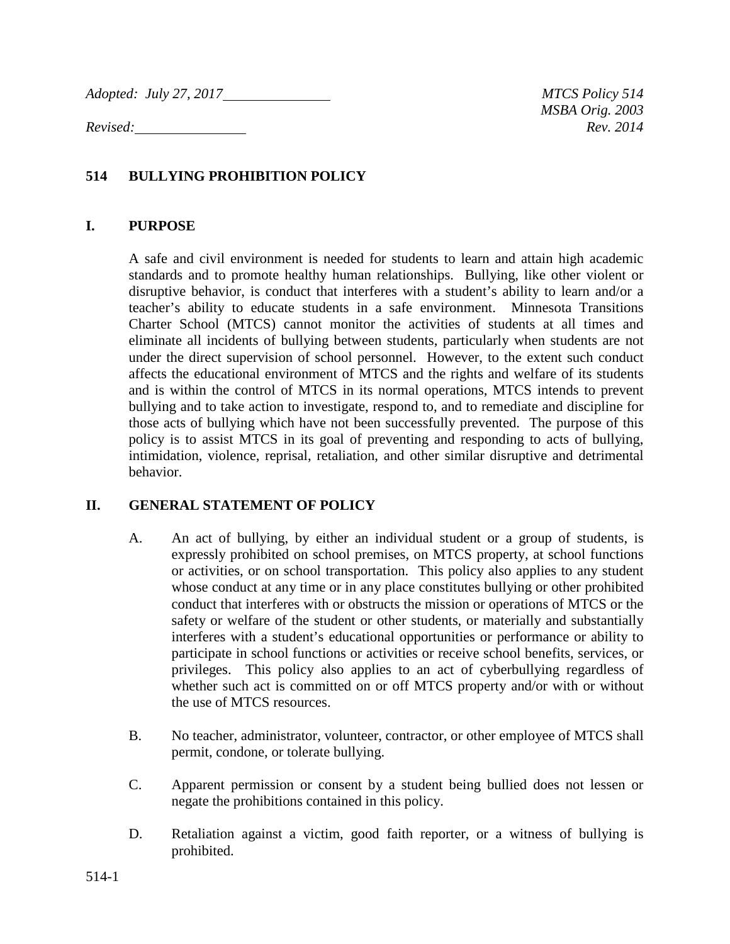*Adopted: July 27, 2017* MTCS Policy 514

*MSBA Orig. 2003 Revised: Rev. 2014*

### **514 BULLYING PROHIBITION POLICY**

#### **I. PURPOSE**

A safe and civil environment is needed for students to learn and attain high academic standards and to promote healthy human relationships. Bullying, like other violent or disruptive behavior, is conduct that interferes with a student's ability to learn and/or a teacher's ability to educate students in a safe environment. Minnesota Transitions Charter School (MTCS) cannot monitor the activities of students at all times and eliminate all incidents of bullying between students, particularly when students are not under the direct supervision of school personnel. However, to the extent such conduct affects the educational environment of MTCS and the rights and welfare of its students and is within the control of MTCS in its normal operations, MTCS intends to prevent bullying and to take action to investigate, respond to, and to remediate and discipline for those acts of bullying which have not been successfully prevented. The purpose of this policy is to assist MTCS in its goal of preventing and responding to acts of bullying, intimidation, violence, reprisal, retaliation, and other similar disruptive and detrimental behavior.

### **II. GENERAL STATEMENT OF POLICY**

- A. An act of bullying, by either an individual student or a group of students, is expressly prohibited on school premises, on MTCS property, at school functions or activities, or on school transportation. This policy also applies to any student whose conduct at any time or in any place constitutes bullying or other prohibited conduct that interferes with or obstructs the mission or operations of MTCS or the safety or welfare of the student or other students, or materially and substantially interferes with a student's educational opportunities or performance or ability to participate in school functions or activities or receive school benefits, services, or privileges. This policy also applies to an act of cyberbullying regardless of whether such act is committed on or off MTCS property and/or with or without the use of MTCS resources.
- B. No teacher, administrator, volunteer, contractor, or other employee of MTCS shall permit, condone, or tolerate bullying.
- C. Apparent permission or consent by a student being bullied does not lessen or negate the prohibitions contained in this policy.
- D. Retaliation against a victim, good faith reporter, or a witness of bullying is prohibited.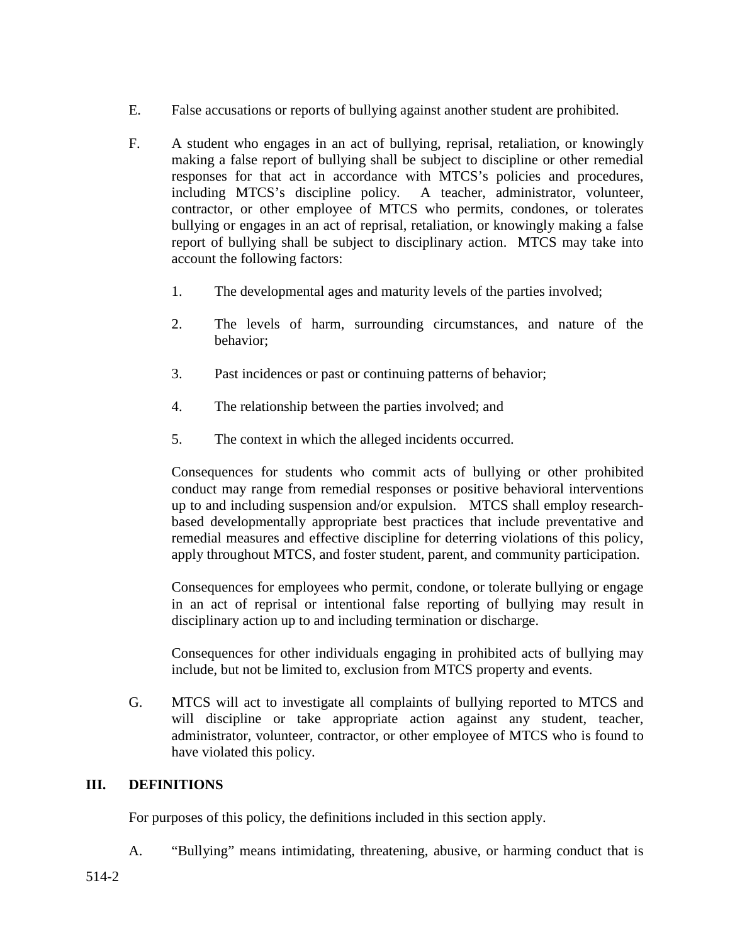- E. False accusations or reports of bullying against another student are prohibited.
- F. A student who engages in an act of bullying, reprisal, retaliation, or knowingly making a false report of bullying shall be subject to discipline or other remedial responses for that act in accordance with MTCS's policies and procedures, including MTCS's discipline policy. A teacher, administrator, volunteer, contractor, or other employee of MTCS who permits, condones, or tolerates bullying or engages in an act of reprisal, retaliation, or knowingly making a false report of bullying shall be subject to disciplinary action. MTCS may take into account the following factors:
	- 1. The developmental ages and maturity levels of the parties involved;
	- 2. The levels of harm, surrounding circumstances, and nature of the behavior;
	- 3. Past incidences or past or continuing patterns of behavior;
	- 4. The relationship between the parties involved; and
	- 5. The context in which the alleged incidents occurred.

Consequences for students who commit acts of bullying or other prohibited conduct may range from remedial responses or positive behavioral interventions up to and including suspension and/or expulsion. MTCS shall employ researchbased developmentally appropriate best practices that include preventative and remedial measures and effective discipline for deterring violations of this policy, apply throughout MTCS, and foster student, parent, and community participation.

Consequences for employees who permit, condone, or tolerate bullying or engage in an act of reprisal or intentional false reporting of bullying may result in disciplinary action up to and including termination or discharge.

Consequences for other individuals engaging in prohibited acts of bullying may include, but not be limited to, exclusion from MTCS property and events.

G. MTCS will act to investigate all complaints of bullying reported to MTCS and will discipline or take appropriate action against any student, teacher, administrator, volunteer, contractor, or other employee of MTCS who is found to have violated this policy.

### **III. DEFINITIONS**

For purposes of this policy, the definitions included in this section apply.

A. "Bullying" means intimidating, threatening, abusive, or harming conduct that is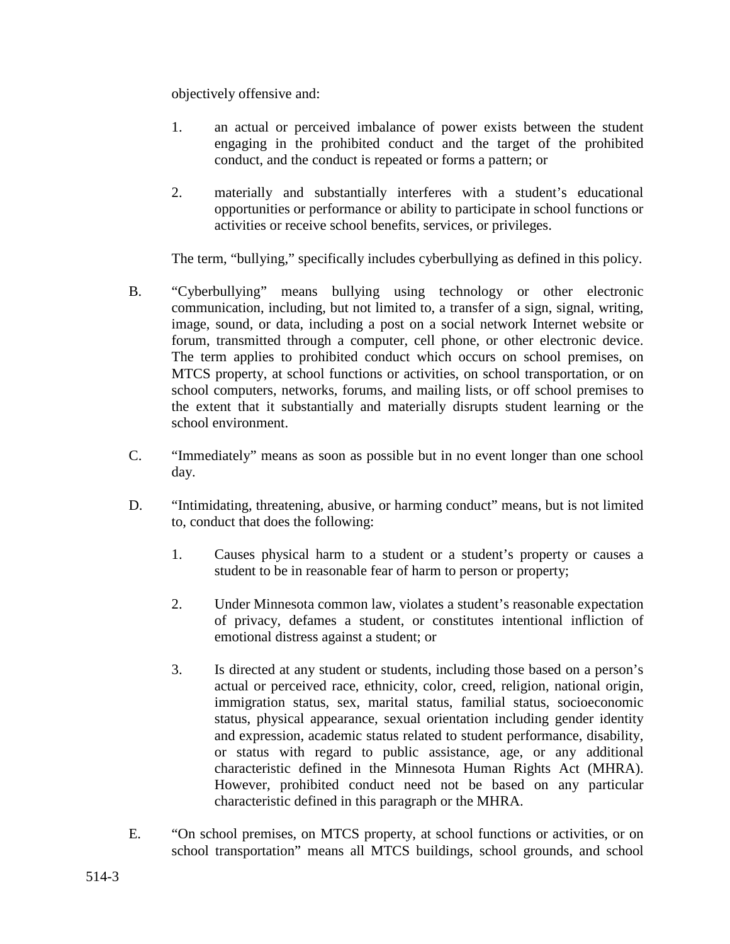objectively offensive and:

- 1. an actual or perceived imbalance of power exists between the student engaging in the prohibited conduct and the target of the prohibited conduct, and the conduct is repeated or forms a pattern; or
- 2. materially and substantially interferes with a student's educational opportunities or performance or ability to participate in school functions or activities or receive school benefits, services, or privileges.

The term, "bullying," specifically includes cyberbullying as defined in this policy.

- B. "Cyberbullying" means bullying using technology or other electronic communication, including, but not limited to, a transfer of a sign, signal, writing, image, sound, or data, including a post on a social network Internet website or forum, transmitted through a computer, cell phone, or other electronic device. The term applies to prohibited conduct which occurs on school premises, on MTCS property, at school functions or activities, on school transportation, or on school computers, networks, forums, and mailing lists, or off school premises to the extent that it substantially and materially disrupts student learning or the school environment.
- C. "Immediately" means as soon as possible but in no event longer than one school day.
- D. "Intimidating, threatening, abusive, or harming conduct" means, but is not limited to, conduct that does the following:
	- 1. Causes physical harm to a student or a student's property or causes a student to be in reasonable fear of harm to person or property;
	- 2. Under Minnesota common law, violates a student's reasonable expectation of privacy, defames a student, or constitutes intentional infliction of emotional distress against a student; or
	- 3. Is directed at any student or students, including those based on a person's actual or perceived race, ethnicity, color, creed, religion, national origin, immigration status, sex, marital status, familial status, socioeconomic status, physical appearance, sexual orientation including gender identity and expression, academic status related to student performance, disability, or status with regard to public assistance, age, or any additional characteristic defined in the Minnesota Human Rights Act (MHRA). However, prohibited conduct need not be based on any particular characteristic defined in this paragraph or the MHRA.
- E. "On school premises, on MTCS property, at school functions or activities, or on school transportation" means all MTCS buildings, school grounds, and school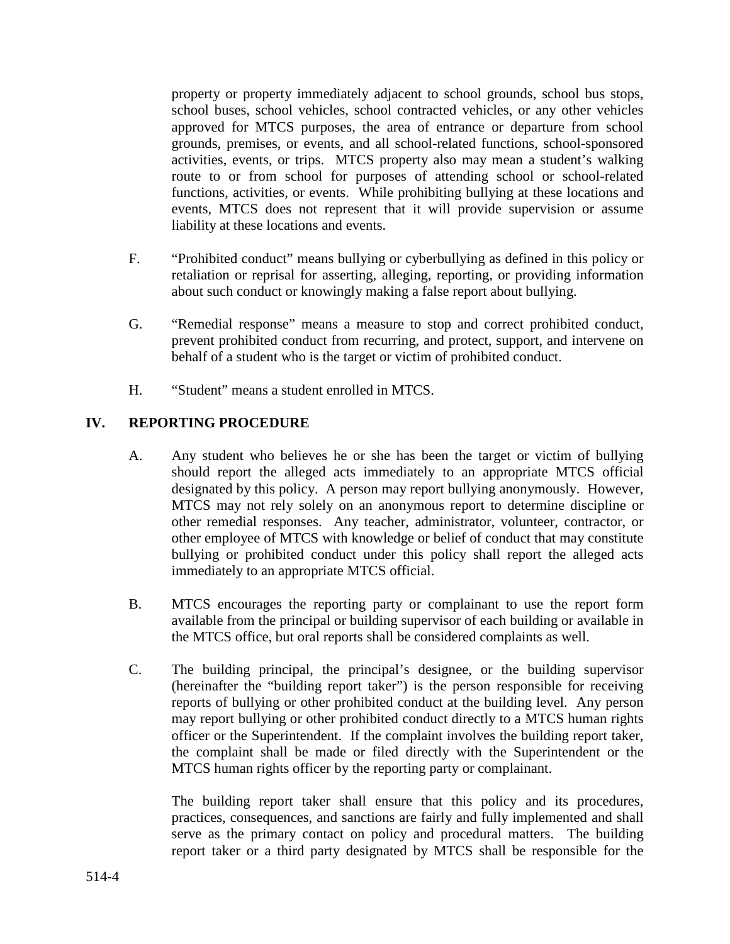property or property immediately adjacent to school grounds, school bus stops, school buses, school vehicles, school contracted vehicles, or any other vehicles approved for MTCS purposes, the area of entrance or departure from school grounds, premises, or events, and all school-related functions, school-sponsored activities, events, or trips. MTCS property also may mean a student's walking route to or from school for purposes of attending school or school-related functions, activities, or events. While prohibiting bullying at these locations and events, MTCS does not represent that it will provide supervision or assume liability at these locations and events.

- F. "Prohibited conduct" means bullying or cyberbullying as defined in this policy or retaliation or reprisal for asserting, alleging, reporting, or providing information about such conduct or knowingly making a false report about bullying.
- G. "Remedial response" means a measure to stop and correct prohibited conduct, prevent prohibited conduct from recurring, and protect, support, and intervene on behalf of a student who is the target or victim of prohibited conduct.
- H. "Student" means a student enrolled in MTCS.

### **IV. REPORTING PROCEDURE**

- A. Any student who believes he or she has been the target or victim of bullying should report the alleged acts immediately to an appropriate MTCS official designated by this policy. A person may report bullying anonymously. However, MTCS may not rely solely on an anonymous report to determine discipline or other remedial responses. Any teacher, administrator, volunteer, contractor, or other employee of MTCS with knowledge or belief of conduct that may constitute bullying or prohibited conduct under this policy shall report the alleged acts immediately to an appropriate MTCS official.
- B. MTCS encourages the reporting party or complainant to use the report form available from the principal or building supervisor of each building or available in the MTCS office, but oral reports shall be considered complaints as well.
- C. The building principal, the principal's designee, or the building supervisor (hereinafter the "building report taker") is the person responsible for receiving reports of bullying or other prohibited conduct at the building level. Any person may report bullying or other prohibited conduct directly to a MTCS human rights officer or the Superintendent. If the complaint involves the building report taker, the complaint shall be made or filed directly with the Superintendent or the MTCS human rights officer by the reporting party or complainant.

The building report taker shall ensure that this policy and its procedures, practices, consequences, and sanctions are fairly and fully implemented and shall serve as the primary contact on policy and procedural matters. The building report taker or a third party designated by MTCS shall be responsible for the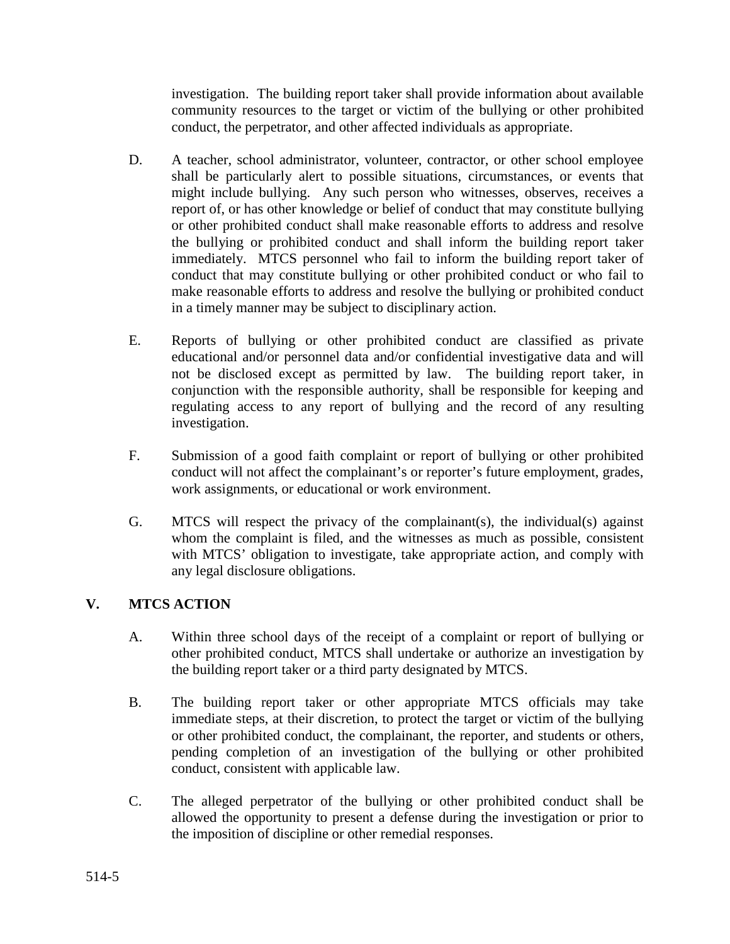investigation. The building report taker shall provide information about available community resources to the target or victim of the bullying or other prohibited conduct, the perpetrator, and other affected individuals as appropriate.

- D. A teacher, school administrator, volunteer, contractor, or other school employee shall be particularly alert to possible situations, circumstances, or events that might include bullying. Any such person who witnesses, observes, receives a report of, or has other knowledge or belief of conduct that may constitute bullying or other prohibited conduct shall make reasonable efforts to address and resolve the bullying or prohibited conduct and shall inform the building report taker immediately. MTCS personnel who fail to inform the building report taker of conduct that may constitute bullying or other prohibited conduct or who fail to make reasonable efforts to address and resolve the bullying or prohibited conduct in a timely manner may be subject to disciplinary action.
- E. Reports of bullying or other prohibited conduct are classified as private educational and/or personnel data and/or confidential investigative data and will not be disclosed except as permitted by law. The building report taker, in conjunction with the responsible authority, shall be responsible for keeping and regulating access to any report of bullying and the record of any resulting investigation.
- F. Submission of a good faith complaint or report of bullying or other prohibited conduct will not affect the complainant's or reporter's future employment, grades, work assignments, or educational or work environment.
- G. MTCS will respect the privacy of the complainant(s), the individual(s) against whom the complaint is filed, and the witnesses as much as possible, consistent with MTCS' obligation to investigate, take appropriate action, and comply with any legal disclosure obligations.

# **V. MTCS ACTION**

- A. Within three school days of the receipt of a complaint or report of bullying or other prohibited conduct, MTCS shall undertake or authorize an investigation by the building report taker or a third party designated by MTCS.
- B. The building report taker or other appropriate MTCS officials may take immediate steps, at their discretion, to protect the target or victim of the bullying or other prohibited conduct, the complainant, the reporter, and students or others, pending completion of an investigation of the bullying or other prohibited conduct, consistent with applicable law.
- C. The alleged perpetrator of the bullying or other prohibited conduct shall be allowed the opportunity to present a defense during the investigation or prior to the imposition of discipline or other remedial responses.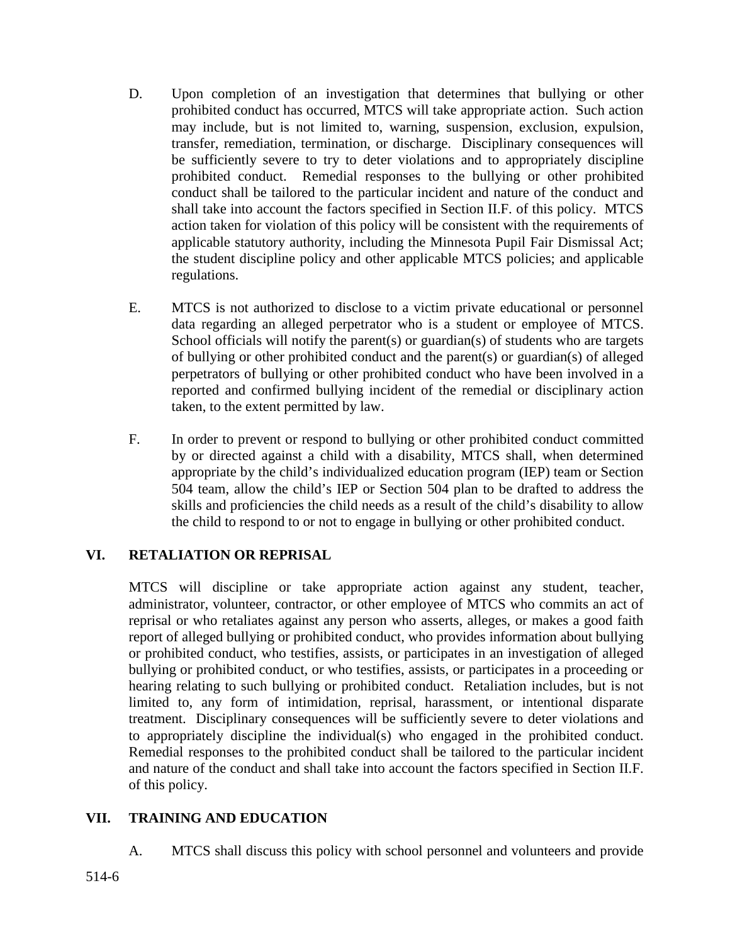- D. Upon completion of an investigation that determines that bullying or other prohibited conduct has occurred, MTCS will take appropriate action. Such action may include, but is not limited to, warning, suspension, exclusion, expulsion, transfer, remediation, termination, or discharge. Disciplinary consequences will be sufficiently severe to try to deter violations and to appropriately discipline prohibited conduct. Remedial responses to the bullying or other prohibited conduct shall be tailored to the particular incident and nature of the conduct and shall take into account the factors specified in Section II.F. of this policy. MTCS action taken for violation of this policy will be consistent with the requirements of applicable statutory authority, including the Minnesota Pupil Fair Dismissal Act; the student discipline policy and other applicable MTCS policies; and applicable regulations.
- E. MTCS is not authorized to disclose to a victim private educational or personnel data regarding an alleged perpetrator who is a student or employee of MTCS. School officials will notify the parent(s) or guardian(s) of students who are targets of bullying or other prohibited conduct and the parent(s) or guardian(s) of alleged perpetrators of bullying or other prohibited conduct who have been involved in a reported and confirmed bullying incident of the remedial or disciplinary action taken, to the extent permitted by law.
- F. In order to prevent or respond to bullying or other prohibited conduct committed by or directed against a child with a disability, MTCS shall, when determined appropriate by the child's individualized education program (IEP) team or Section 504 team, allow the child's IEP or Section 504 plan to be drafted to address the skills and proficiencies the child needs as a result of the child's disability to allow the child to respond to or not to engage in bullying or other prohibited conduct.

# **VI. RETALIATION OR REPRISAL**

MTCS will discipline or take appropriate action against any student, teacher, administrator, volunteer, contractor, or other employee of MTCS who commits an act of reprisal or who retaliates against any person who asserts, alleges, or makes a good faith report of alleged bullying or prohibited conduct, who provides information about bullying or prohibited conduct, who testifies, assists, or participates in an investigation of alleged bullying or prohibited conduct, or who testifies, assists, or participates in a proceeding or hearing relating to such bullying or prohibited conduct. Retaliation includes, but is not limited to, any form of intimidation, reprisal, harassment, or intentional disparate treatment. Disciplinary consequences will be sufficiently severe to deter violations and to appropriately discipline the individual(s) who engaged in the prohibited conduct. Remedial responses to the prohibited conduct shall be tailored to the particular incident and nature of the conduct and shall take into account the factors specified in Section II.F. of this policy.

# **VII. TRAINING AND EDUCATION**

A. MTCS shall discuss this policy with school personnel and volunteers and provide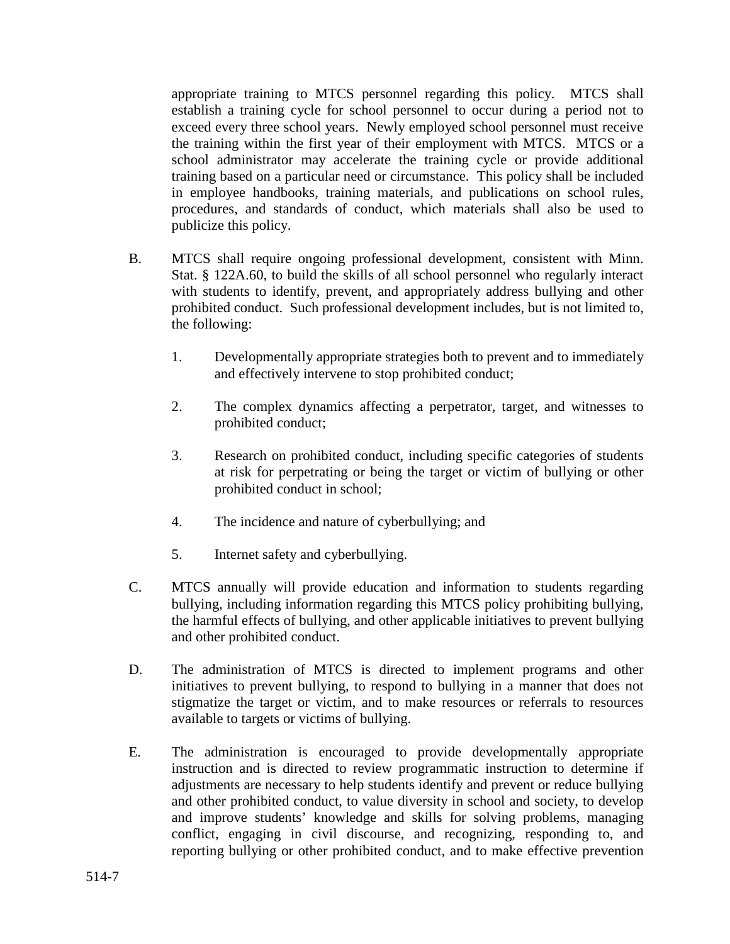appropriate training to MTCS personnel regarding this policy. MTCS shall establish a training cycle for school personnel to occur during a period not to exceed every three school years. Newly employed school personnel must receive the training within the first year of their employment with MTCS. MTCS or a school administrator may accelerate the training cycle or provide additional training based on a particular need or circumstance. This policy shall be included in employee handbooks, training materials, and publications on school rules, procedures, and standards of conduct, which materials shall also be used to publicize this policy.

- B. MTCS shall require ongoing professional development, consistent with Minn. Stat. § 122A.60, to build the skills of all school personnel who regularly interact with students to identify, prevent, and appropriately address bullying and other prohibited conduct. Such professional development includes, but is not limited to, the following:
	- 1. Developmentally appropriate strategies both to prevent and to immediately and effectively intervene to stop prohibited conduct;
	- 2. The complex dynamics affecting a perpetrator, target, and witnesses to prohibited conduct;
	- 3. Research on prohibited conduct, including specific categories of students at risk for perpetrating or being the target or victim of bullying or other prohibited conduct in school;
	- 4. The incidence and nature of cyberbullying; and
	- 5. Internet safety and cyberbullying.
- C. MTCS annually will provide education and information to students regarding bullying, including information regarding this MTCS policy prohibiting bullying, the harmful effects of bullying, and other applicable initiatives to prevent bullying and other prohibited conduct.
- D. The administration of MTCS is directed to implement programs and other initiatives to prevent bullying, to respond to bullying in a manner that does not stigmatize the target or victim, and to make resources or referrals to resources available to targets or victims of bullying.
- E. The administration is encouraged to provide developmentally appropriate instruction and is directed to review programmatic instruction to determine if adjustments are necessary to help students identify and prevent or reduce bullying and other prohibited conduct, to value diversity in school and society, to develop and improve students' knowledge and skills for solving problems, managing conflict, engaging in civil discourse, and recognizing, responding to, and reporting bullying or other prohibited conduct, and to make effective prevention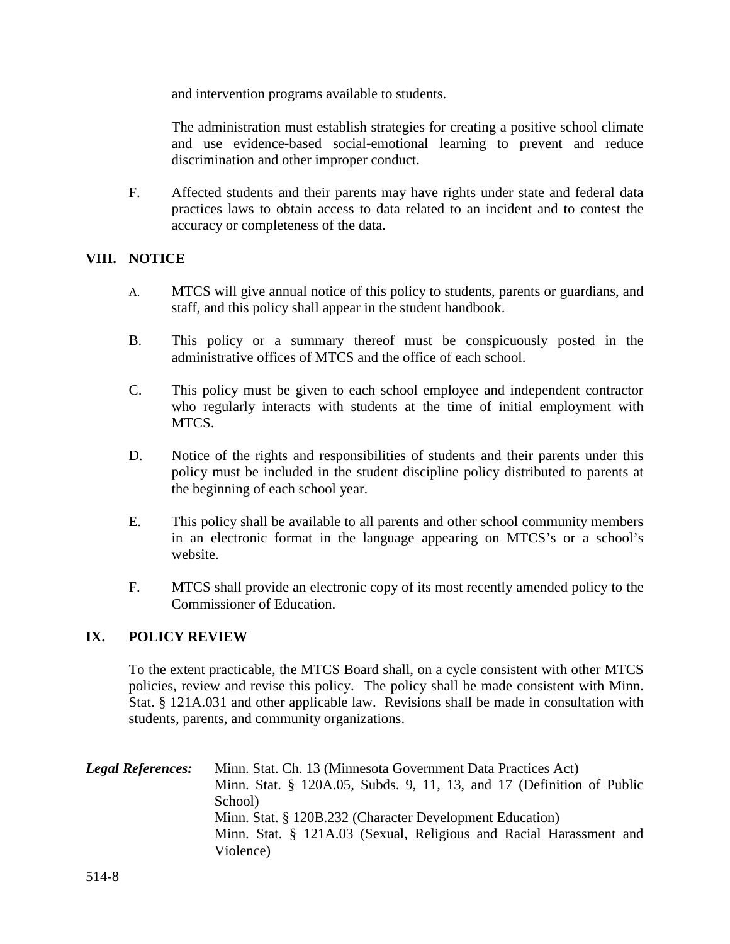and intervention programs available to students.

The administration must establish strategies for creating a positive school climate and use evidence-based social-emotional learning to prevent and reduce discrimination and other improper conduct.

F. Affected students and their parents may have rights under state and federal data practices laws to obtain access to data related to an incident and to contest the accuracy or completeness of the data.

### **VIII. NOTICE**

- A. MTCS will give annual notice of this policy to students, parents or guardians, and staff, and this policy shall appear in the student handbook.
- B. This policy or a summary thereof must be conspicuously posted in the administrative offices of MTCS and the office of each school.
- C. This policy must be given to each school employee and independent contractor who regularly interacts with students at the time of initial employment with MTCS.
- D. Notice of the rights and responsibilities of students and their parents under this policy must be included in the student discipline policy distributed to parents at the beginning of each school year.
- E. This policy shall be available to all parents and other school community members in an electronic format in the language appearing on MTCS's or a school's website.
- F. MTCS shall provide an electronic copy of its most recently amended policy to the Commissioner of Education.

### **IX. POLICY REVIEW**

To the extent practicable, the MTCS Board shall, on a cycle consistent with other MTCS policies, review and revise this policy. The policy shall be made consistent with Minn. Stat. § 121A.031 and other applicable law. Revisions shall be made in consultation with students, parents, and community organizations.

*Legal References:* Minn. Stat. Ch. 13 (Minnesota Government Data Practices Act) Minn. Stat. § 120A.05, Subds. 9, 11, 13, and 17 (Definition of Public School) Minn. Stat. § 120B.232 (Character Development Education) Minn. Stat. § 121A.03 (Sexual, Religious and Racial Harassment and Violence)